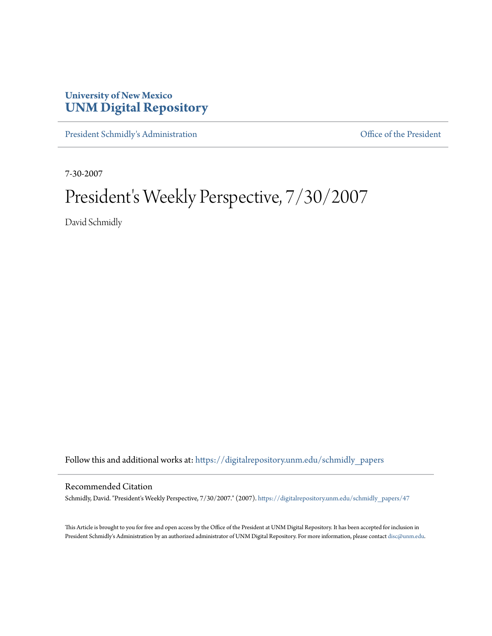## **University of New Mexico [UNM Digital Repository](https://digitalrepository.unm.edu?utm_source=digitalrepository.unm.edu%2Fschmidly_papers%2F47&utm_medium=PDF&utm_campaign=PDFCoverPages)**

[President Schmidly's Administration](https://digitalrepository.unm.edu/schmidly_papers?utm_source=digitalrepository.unm.edu%2Fschmidly_papers%2F47&utm_medium=PDF&utm_campaign=PDFCoverPages) [Office of the President](https://digitalrepository.unm.edu/ofc_president?utm_source=digitalrepository.unm.edu%2Fschmidly_papers%2F47&utm_medium=PDF&utm_campaign=PDFCoverPages)

7-30-2007

## President's Weekly Perspective, 7/30/2007

David Schmidly

Follow this and additional works at: [https://digitalrepository.unm.edu/schmidly\\_papers](https://digitalrepository.unm.edu/schmidly_papers?utm_source=digitalrepository.unm.edu%2Fschmidly_papers%2F47&utm_medium=PDF&utm_campaign=PDFCoverPages)

## Recommended Citation

Schmidly, David. "President's Weekly Perspective, 7/30/2007." (2007). [https://digitalrepository.unm.edu/schmidly\\_papers/47](https://digitalrepository.unm.edu/schmidly_papers/47?utm_source=digitalrepository.unm.edu%2Fschmidly_papers%2F47&utm_medium=PDF&utm_campaign=PDFCoverPages)

This Article is brought to you for free and open access by the Office of the President at UNM Digital Repository. It has been accepted for inclusion in President Schmidly's Administration by an authorized administrator of UNM Digital Repository. For more information, please contact [disc@unm.edu](mailto:disc@unm.edu).